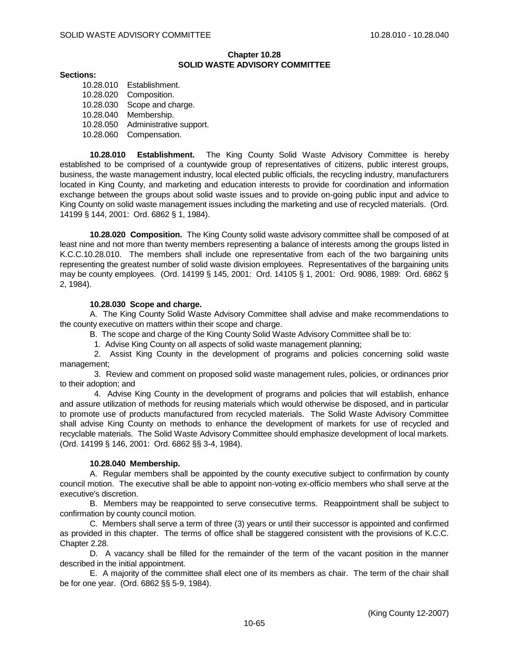## **Chapter 10.28 SOLID WASTE ADVISORY COMMITTEE**

## **Sections:**

10.28.010 Establishment. 10.28.020 Composition. 10.28.030 Scope and charge. 10.28.040 Membership. 10.28.050 Administrative support. 10.28.060 Compensation.

**10.28.010 Establishment.** The King County Solid Waste Advisory Committee is hereby established to be comprised of a countywide group of representatives of citizens, public interest groups, business, the waste management industry, local elected public officials, the recycling industry, manufacturers located in King County, and marketing and education interests to provide for coordination and information exchange between the groups about solid waste issues and to provide on-going public input and advice to King County on solid waste management issues including the marketing and use of recycled materials. (Ord. 14199 § 144, 2001: Ord. 6862 § 1, 1984).

**10.28.020 Composition.** The King County solid waste advisory committee shall be composed of at least nine and not more than twenty members representing a balance of interests among the groups listed in K.C.C.10.28.010. The members shall include one representative from each of the two bargaining units representing the greatest number of solid waste division employees. Representatives of the bargaining units may be county employees. (Ord. 14199 § 145, 2001: Ord. 14105 § 1, 2001: Ord. 9086, 1989: Ord. 6862 § 2, 1984).

## **10.28.030 Scope and charge.**

A. The King County Solid Waste Advisory Committee shall advise and make recommendations to the county executive on matters within their scope and charge.

B. The scope and charge of the King County Solid Waste Advisory Committee shall be to:

1. Advise King County on all aspects of solid waste management planning;

 2. Assist King County in the development of programs and policies concerning solid waste management;

 3. Review and comment on proposed solid waste management rules, policies, or ordinances prior to their adoption; and

 4. Advise King County in the development of programs and policies that will establish, enhance and assure utilization of methods for reusing materials which would otherwise be disposed, and in particular to promote use of products manufactured from recycled materials. The Solid Waste Advisory Committee shall advise King County on methods to enhance the development of markets for use of recycled and recyclable materials. The Solid Waste Advisory Committee should emphasize development of local markets. (Ord. 14199 § 146, 2001: Ord. 6862 §§ 3-4, 1984).

## **10.28.040 Membership.**

A. Regular members shall be appointed by the county executive subject to confirmation by county council motion. The executive shall be able to appoint non-voting ex-officio members who shall serve at the executive's discretion.

B. Members may be reappointed to serve consecutive terms. Reappointment shall be subject to confirmation by county council motion.

C. Members shall serve a term of three (3) years or until their successor is appointed and confirmed as provided in this chapter. The terms of office shall be staggered consistent with the provisions of K.C.C. Chapter 2.28.

D. A vacancy shall be filled for the remainder of the term of the vacant position in the manner described in the initial appointment.

E. A majority of the committee shall elect one of its members as chair. The term of the chair shall be for one year. (Ord. 6862 §§ 5-9, 1984).